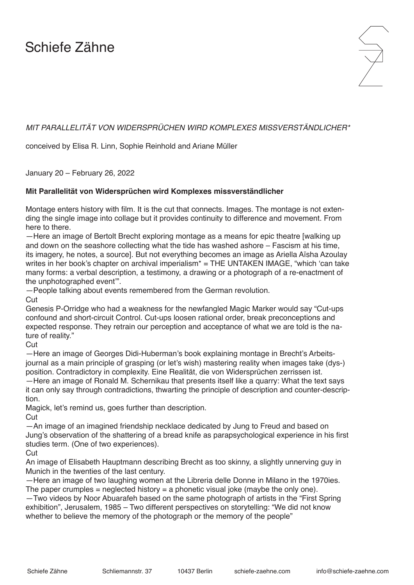## Schiefe Zähne



## *MIT PARALLELITÄT VON WIDERSPRÜCHEN WIRD KOMPLEXES MISSVERSTÄNDLICHER\**

conceived by Elisa R. Linn, Sophie Reinhold and Ariane Müller

January 20 – February 26, 2022

## **Mit Parallelität von Widersprüchen wird Komplexes missverständlicher**

Montage enters history with film. It is the cut that connects. Images. The montage is not extending the single image into collage but it provides continuity to difference and movement. From here to there.

—Here an image of Bertolt Brecht exploring montage as a means for epic theatre [walking up and down on the seashore collecting what the tide has washed ashore – Fascism at his time, its imagery, he notes, a source]. But not everything becomes an image as Ariella Aïsha Azoulay writes in her book's chapter on archival imperialism\* = THE UNTAKEN IMAGE, "which 'can take many forms: a verbal description, a testimony, a drawing or a photograph of a re-enactment of the unphotographed event'".

—People talking about events remembered from the German revolution.

**Cut** 

Genesis P-Orridge who had a weakness for the newfangled Magic Marker would say "Cut-ups confound and short-circuit Control. Cut-ups loosen rational order, break preconceptions and expected response. They retrain our perception and acceptance of what we are told is the nature of reality."

Cut

—Here an image of Georges Didi-Huberman's book explaining montage in Brecht's Arbeitsjournal as a main principle of grasping (or let's wish) mastering reality when images take (dys-) position. Contradictory in complexity. Eine Realität, die von Widersprüchen zerrissen ist. —Here an image of Ronald M. Schernikau that presents itself like a quarry: What the text says it can only say through contradictions, thwarting the principle of description and counter-description.

Magick, let's remind us, goes further than description.

**Cut** 

—An image of an imagined friendship necklace dedicated by Jung to Freud and based on Jung's observation of the shattering of a bread knife as parapsychological experience in his first studies term. (One of two experiences).

**Cut** 

An image of Elisabeth Hauptmann describing Brecht as too skinny, a slightly unnerving guy in Munich in the twenties of the last century.

—Here an image of two laughing women at the Libreria delle Donne in Milano in the 1970ies. The paper crumples  $=$  neglected history  $=$  a phonetic visual joke (maybe the only one).

—Two videos by Noor Abuarafeh based on the same photograph of artists in the "First Spring exhibition", Jerusalem, 1985 – Two different perspectives on storytelling: "We did not know whether to believe the memory of the photograph or the memory of the people"